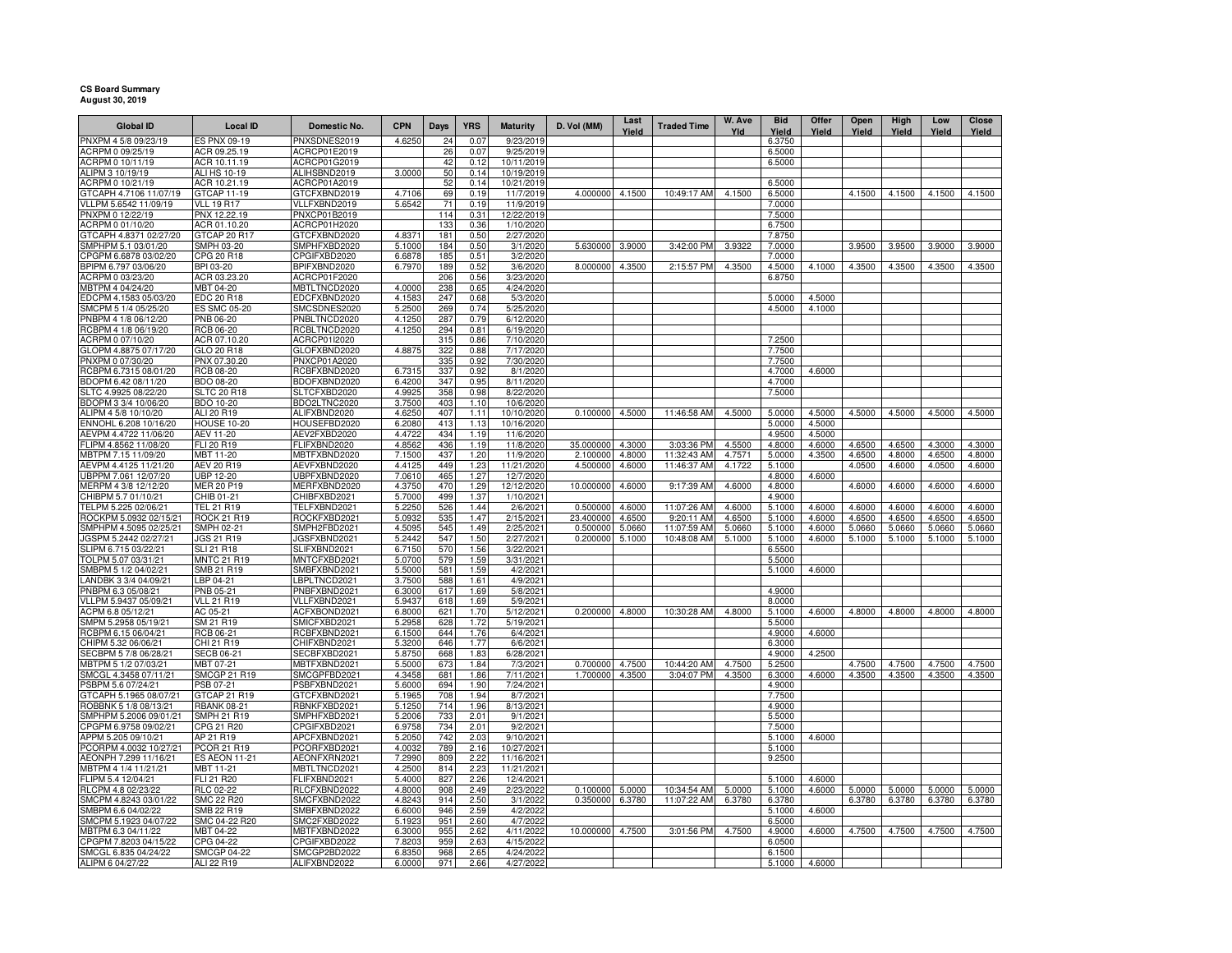## **CS Board Summary August 30, 2019**

| <b>Global ID</b>                                | <b>Local ID</b>                         | Domestic No.                 | <b>CPN</b>       | Days       | <b>YRS</b>   | <b>Maturity</b>          | D. Vol (MM)           | Last<br>Yield    | <b>Traded Time</b>        | W. Ave<br>Yld    | <b>Bid</b><br>Yield | Offer<br>Yield   | Open<br>Yield    | High<br>Yield    | Low<br>Yield     | Close<br>Yield   |
|-------------------------------------------------|-----------------------------------------|------------------------------|------------------|------------|--------------|--------------------------|-----------------------|------------------|---------------------------|------------------|---------------------|------------------|------------------|------------------|------------------|------------------|
| PNXPM 4 5/8 09/23/19                            | ES PNX 09-19                            | PNXSDNES2019                 | 4.6250           | 24         | 0.07         | 9/23/2019                |                       |                  |                           |                  | 6.3750              |                  |                  |                  |                  |                  |
| ACRPM 0 09/25/19                                | ACR 09.25.19                            | ACRCP01E2019                 |                  | 26         | 0.07         | 9/25/2019                |                       |                  |                           |                  | 6.5000              |                  |                  |                  |                  |                  |
| ACRPM 0 10/11/19                                | ACR 10.11.19                            | ACRCP01G2019                 |                  | 42         | 0.12         | 10/11/2019               |                       |                  |                           |                  | 6.5000              |                  |                  |                  |                  |                  |
| ALIPM 3 10/19/19                                | ALI HS 10-19                            | ALIHSBND2019                 | 3.0000           | 50         | 0.14         | 10/19/2019               |                       |                  |                           |                  |                     |                  |                  |                  |                  |                  |
| ACRPM 0 10/21/19                                | ACR 10.21.19                            | ACRCP01A2019                 |                  | 52         | 0.14         | 10/21/2019               |                       |                  |                           |                  | 6.5000              |                  |                  |                  |                  |                  |
| GTCAPH 4.7106 11/07/19                          | GTCAP 11-19                             | GTCFXBND2019                 | 4.7106           | 69         | 0.19         | 11/7/2019                | 4.000000              | 4.1500           | 10:49:17 AM               | 4.1500           | 6.5000              |                  | 4.1500           | 4.1500           | 4.1500           | 4.1500           |
| VLLPM 5.6542 11/09/19                           | <b>VLL 19 R17</b>                       | VLLFXBND2019                 | 5.6542           | 71         | 0.19         | 11/9/2019                |                       |                  |                           |                  | 7.0000              |                  |                  |                  |                  |                  |
| PNXPM 0 12/22/19                                | PNX 12.22.19                            | PNXCP01B2019                 |                  | 114        | 0.31         | 12/22/2019               |                       |                  |                           |                  | 7.5000              |                  |                  |                  |                  |                  |
| ACRPM 0 01/10/20<br>GTCAPH 4.8371 02/27/20      | ACR 01.10.20<br>GTCAP 20 R17            | ACRCP01H2020<br>GTCFXBND2020 | 4.8371           | 133<br>181 | 0.36<br>0.50 | 1/10/2020<br>2/27/2020   |                       |                  |                           |                  | 6.7500<br>7.8750    |                  |                  |                  |                  |                  |
| SMPHPM 5.1 03/01/20                             | SMPH 03-20                              | SMPHFXBD2020                 | 5.1000           | 184        | 0.50         | 3/1/2020                 | 5.630000              | 3.9000           | 3:42:00 PM                | 3.9322           | 7.0000              |                  | 3.9500           | 3.9500           | 3.9000           | 3.9000           |
| CPGPM 6.6878 03/02/20                           | CPG 20 R18                              | CPGIFXBD2020                 | 6.6878           | 185        | 0.51         | 3/2/2020                 |                       |                  |                           |                  | 7.0000              |                  |                  |                  |                  |                  |
| BPIPM 6.797 03/06/20                            | BPI 03-20                               | BPIFXBND2020                 | 6.7970           | 189        | 0.52         | 3/6/2020                 | 8.000000              | 4.3500           | 2:15:57 PM                | 4.3500           | 4.5000              | 4.1000           | 4.3500           | 4.3500           | 4.3500           | 4.3500           |
| ACRPM 0 03/23/20                                | ACR 03.23.20                            | ACRCP01F2020                 |                  | 206        | 0.56         | 3/23/2020                |                       |                  |                           |                  | 6.8750              |                  |                  |                  |                  |                  |
| MBTPM 4 04/24/20                                | MBT 04-20                               | MBTLTNCD2020                 | 4.0000           | 238        | 0.65         | 4/24/2020                |                       |                  |                           |                  |                     |                  |                  |                  |                  |                  |
| EDCPM 4.1583 05/03/20                           | <b>EDC 20 R18</b>                       | EDCFXBND2020                 | 4.1583           | 247        | 0.68         | 5/3/2020                 |                       |                  |                           |                  | 5.0000              | 4.5000           |                  |                  |                  |                  |
| SMCPM 5 1/4 05/25/20                            | ES SMC 05-20                            | SMCSDNES2020                 | 5.2500           | 269        | 0.74         | 5/25/2020                |                       |                  |                           |                  | 4.5000              | 4.1000           |                  |                  |                  |                  |
| PNBPM 4 1/8 06/12/20                            | PNB 06-20                               | PNBLTNCD2020                 | 4.1250           | 287        | 0.79         | 6/12/2020                |                       |                  |                           |                  |                     |                  |                  |                  |                  |                  |
| RCBPM 4 1/8 06/19/20                            | RCB 06-20                               | RCBLTNCD2020                 | 4.1250           | 294        | 0.81         | 6/19/2020                |                       |                  |                           |                  |                     |                  |                  |                  |                  |                  |
| ACRPM 0 07/10/20                                | ACR 07.10.20                            | ACRCP01I2020                 |                  | 315        | 0.86         | 7/10/2020                |                       |                  |                           |                  | 7.2500              |                  |                  |                  |                  |                  |
| GLOPM 4.8875 07/17/20                           | GLO 20 R18                              | GLOFXBND2020                 | 4.8875           | 322        | 0.88         | 7/17/2020                |                       |                  |                           |                  | 7.7500              |                  |                  |                  |                  |                  |
| PNXPM 0 07/30/20                                | PNX 07.30.20                            | PNXCP01A2020                 |                  | 335<br>337 | 0.92         | 7/30/2020                |                       |                  |                           |                  | 7.7500              |                  |                  |                  |                  |                  |
| RCBPM 6.7315 08/01/20<br>BDOPM 6.42 08/11/20    | <b>RCB 08-20</b><br>BDO 08-20           | RCBFXBND2020                 | 6.7315<br>6.4200 | 347        | 0.92<br>0.95 | 8/1/2020<br>8/11/2020    |                       |                  |                           |                  | 4.7000<br>4.7000    | 4.6000           |                  |                  |                  |                  |
| SLTC 4.9925 08/22/20                            | <b>SLTC 20 R18</b>                      | BDOFXBND2020<br>SLTCFXBD2020 | 4.9925           | 358        | 0.98         | 8/22/2020                |                       |                  |                           |                  | 7.5000              |                  |                  |                  |                  |                  |
| BDOPM 3 3/4 10/06/20                            | BDO 10-20                               | BDO2LTNC2020                 | 3.7500           | 403        | 1.10         | 10/6/2020                |                       |                  |                           |                  |                     |                  |                  |                  |                  |                  |
| ALIPM 4 5/8 10/10/20                            | ALI 20 R19                              | ALIFXBND2020                 | 4.6250           | 407        | 1.11         | 10/10/2020               | 0.100000              | 4.5000           | 11:46:58 AM               | 4.5000           | 5.0000              | 4.5000           | 4.5000           | 4.5000           | 4.5000           | 4.5000           |
| ENNOHL 6.208 10/16/20                           | <b>HOUSE 10-20</b>                      | HOUSEFBD2020                 | 6.2080           | 413        | 1.13         | 10/16/2020               |                       |                  |                           |                  | 5.0000              | 4.5000           |                  |                  |                  |                  |
| AEVPM 4.4722 11/06/20                           | AEV 11-20                               | AEV2FXBD2020                 | 4.4722           | 434        | 1.19         | 11/6/2020                |                       |                  |                           |                  | 4.9500              | 4.5000           |                  |                  |                  |                  |
| FLIPM 4.8562 11/08/20                           | FLI 20 R19                              | FLIFXBND2020                 | 4.8562           | 436        | 1.19         | 11/8/2020                | 35.000000             | 4.3000           | 3:03:36 PM                | 4.5500           | 4.8000              | 4.6000           | 4.6500           | 4.6500           | 4.3000           | 4.3000           |
| MBTPM 7.15 11/09/20                             | MBT 11-20                               | MBTFXBND2020                 | 7.1500           | 437        | 1.20         | 11/9/2020                | 2.100000              | 4.8000           | 11:32:43 AM               | 4.7571           | 5.0000              | 4.3500           | 4.6500           | 4.8000           | 4.6500           | 4.8000           |
| AEVPM 4.4125 11/21/20                           | AEV 20 R19                              | AEVFXBND2020                 | 4.4125           | 449        | 1.23         | 11/21/2020               | 4.500000              | 4.6000           | 11:46:37 AM               | 4.1722           | 5.1000              |                  | 4.0500           | 4.6000           | 4.0500           | 4.6000           |
| UBPPM 7.061 12/07/20                            | <b>UBP 12-20</b>                        | UBPFXBND2020                 | 7.0610           | 465        | 1.27         | 12/7/2020                |                       |                  |                           |                  | 4.8000              | 4.6000           |                  |                  |                  |                  |
| MERPM 4 3/8 12/12/20                            | <b>MER 20 P19</b>                       | MERFXBND2020                 | 4.3750           | 470        | 1.29         | 12/12/2020               | 10.000000             | 4.6000           | 9:17:39 AM                | 4.6000           | 4.8000              |                  | 4.6000           | 4.6000           | 4.6000           | 4.6000           |
| CHIBPM 5.7 01/10/21                             | CHIB 01-21                              | CHIBFXBD2021                 | 5.7000           | 499        | 1.37         | 1/10/2021                |                       |                  |                           |                  | 4.9000              |                  |                  |                  |                  |                  |
| TELPM 5.225 02/06/21                            | <b>TEL 21 R19</b><br><b>ROCK 21 R19</b> | TELFXBND2021                 | 5.2250           | 526        | 1.44<br>1.47 | 2/6/2021                 | 0.500000<br>23.400000 | 4.6000           | 11:07:26 AM               | 4.6000<br>4.6500 | 5.1000              | 4.6000           | 4.6000           | 4.6000           | 4.6000           | 4.6000           |
| ROCKPM 5.0932 02/15/2<br>SMPHPM 4.5095 02/25/21 | SMPH 02-21                              | ROCKFXBD2021<br>SMPH2FBD2021 | 5.0932<br>4.5095 | 535<br>545 | 1.49         | 2/15/2021<br>2/25/2021   | 0.500000              | 4.6500<br>5.0660 | 9:20:11 AM<br>11:07:59 AM | 5.0660           | 5.1000<br>5.1000    | 4.6000<br>4.6000 | 4.6500<br>5.0660 | 4.6500<br>5.0660 | 4.6500<br>5.0660 | 4.6500<br>5.0660 |
| GSPM 5.2442 02/27/21                            | JGS 21 R19                              | JGSFXBND2021                 | 5.2442           | 547        | 1.50         | 2/27/2021                | 0.200000              | 5.1000           | 10:48:08 AM               | 5.1000           | 5.1000              | 4.6000           | 5.1000           | 5.1000           | 5.1000           | 5.1000           |
| SLIPM 6.715 03/22/21                            | SLI 21 R18                              | SLIFXBND2021                 | 6.7150           | 570        | 1.56         | 3/22/2021                |                       |                  |                           |                  | 6.5500              |                  |                  |                  |                  |                  |
| TOLPM 5.07 03/31/21                             | MNTC 21 R19                             | MNTCFXBD2021                 | 5.0700           | 579        | 1.59         | 3/31/2021                |                       |                  |                           |                  | 5.5000              |                  |                  |                  |                  |                  |
| SMBPM 5 1/2 04/02/21                            | SMB 21 R19                              | SMBFXBND2021                 | 5.5000           | 581        | 1.59         | 4/2/2021                 |                       |                  |                           |                  | 5.1000              | 4.6000           |                  |                  |                  |                  |
| LANDBK 3 3/4 04/09/21                           | LBP 04-21                               | LBPLTNCD2021                 | 3.7500           | 588        | 1.61         | 4/9/2021                 |                       |                  |                           |                  |                     |                  |                  |                  |                  |                  |
| PNBPM 6.3 05/08/21                              | PNB 05-21                               | PNBFXBND2021                 | 6.3000           | 617        | 1.69         | 5/8/2021                 |                       |                  |                           |                  | 4.9000              |                  |                  |                  |                  |                  |
| VLLPM 5.9437 05/09/21                           | <b>VLL 21 R19</b>                       | VLLFXBND2021                 | 5.9437           | 618        | 1.69         | 5/9/2021                 |                       |                  |                           |                  | 8.0000              |                  |                  |                  |                  |                  |
| ACPM 6.8 05/12/21                               | AC 05-21                                | ACFXBOND2021                 | 6.8000           | 621        | 1.70         | 5/12/2021                | 0.200000              | 4.8000           | 10:30:28 AM               | 4.8000           | 5.1000              | 4.6000           | 4.8000           | 4.8000           | 4.8000           | 4.8000           |
| SMPM 5.2958 05/19/21                            | SM 21 R19                               | SMICFXBD2021                 | 5.2958           | 628        | 1.72         | 5/19/2021                |                       |                  |                           |                  | 5.5000              |                  |                  |                  |                  |                  |
| RCBPM 6.15 06/04/21<br>CHIPM 5.32 06/06/21      | RCB 06-21<br>CHI 21 R19                 | RCBFXBND2021                 | 6.1500           | 644<br>646 | 1.76<br>1.77 | 6/4/2021<br>6/6/2021     |                       |                  |                           |                  | 4.9000<br>6.3000    | 4.6000           |                  |                  |                  |                  |
| SECBPM 5 7/8 06/28/21                           | <b>SECB 06-21</b>                       | CHIFXBND2021<br>SECBFXBD2021 | 5.3200<br>5.8750 | 668        | 1.83         | 6/28/2021                |                       |                  |                           |                  | 4.9000              | 4.2500           |                  |                  |                  |                  |
| MBTPM 5 1/2 07/03/21                            | MBT 07-21                               | MBTFXBND2021                 | 5.5000           | 673        | 1.84         | 7/3/2021                 | 0.700000              | 4.7500           | 10:44:20 AM               | 4.7500           | 5.2500              |                  | 4.7500           | 4.7500           | 4.7500           | 4.7500           |
| SMCGL 4.3458 07/11/21                           | SMCGP 21 R19                            | SMCGPFBD2021                 | 4.3458           | 681        | 1.86         | 7/11/2021                | 1.700000              | 4.3500           | 3:04:07 PM                | 4.3500           | 6.3000              | 4.6000           | 4.3500           | 4.3500           | 4.3500           | 4.3500           |
| PSBPM 5.6 07/24/21                              | PSB 07-21                               | PSBFXBND2021                 | 5.6000           | 694        | 1.90         | 7/24/2021                |                       |                  |                           |                  | 4.9000              |                  |                  |                  |                  |                  |
| GTCAPH 5.1965 08/07/21                          | GTCAP 21 R19                            | GTCFXBND2021                 | 5.1965           | 708        | 1.94         | 8/7/2021                 |                       |                  |                           |                  | 7.7500              |                  |                  |                  |                  |                  |
| ROBBNK 5 1/8 08/13/21                           | <b>RBANK 08-21</b>                      | RBNKFXBD2021                 | 5.1250           | 714        | 1.96         | 8/13/2021                |                       |                  |                           |                  | 4.9000              |                  |                  |                  |                  |                  |
| SMPHPM 5.2006 09/01/21                          | SMPH 21 R19                             | SMPHFXBD2021                 | 5.2006           | 733        | 2.01         | 9/1/2021                 |                       |                  |                           |                  | 5.5000              |                  |                  |                  |                  |                  |
| CPGPM 6.9758 09/02/21                           | CPG 21 R20                              | CPGIFXBD2021                 | 6.9758           | 734        | 2.01         | 9/2/2021                 |                       |                  |                           |                  | 7.5000              |                  |                  |                  |                  |                  |
| APPM 5.205 09/10/21                             | AP 21 R19                               | APCFXBND2021                 | 5.2050           | 742        | 2.03         | 9/10/2021                |                       |                  |                           |                  | 5.1000              | 4.6000           |                  |                  |                  |                  |
| PCORPM 4.0032 10/27/21                          | PCOR 21 R19                             | PCORFXBD2021                 | 4.0032           | 789        | 2.16         | 10/27/2021               |                       |                  |                           |                  | 5.1000              |                  |                  |                  |                  |                  |
| AEONPH 7.299 11/16/21                           | <b>ES AEON 11-21</b>                    | AEONFXRN2021<br>MBTLTNCD2021 | 7.2990<br>4.2500 | 809<br>814 | 2.22<br>2.23 | 11/16/2021<br>11/21/2021 |                       |                  |                           |                  | 9.2500              |                  |                  |                  |                  |                  |
| MBTPM 4 1/4 11/21/21                            | MBT 11-21                               |                              |                  |            |              |                          |                       |                  |                           |                  |                     |                  |                  |                  |                  |                  |
| FLIPM 5.4 12/04/21<br>RLCPM 4.8 02/23/22        | FLI 21 R20<br>RLC 02-22                 | FLIFXBND2021<br>RLCFXBND2022 | 5.4000<br>4.8000 | 827<br>908 | 2.26<br>2.49 | 12/4/2021<br>2/23/2022   | 0.100000              | 5.0000           | 10:34:54 AM               | 5.0000           | 5.1000<br>5.1000    | 4.6000<br>4.6000 | 5.0000           | 5.0000           | 5.0000           | 5.0000           |
| SMCPM 4.8243 03/01/22                           | <b>SMC 22 R20</b>                       | SMCFXBND2022                 | 4.8243           | 914        | 2.50         | 3/1/2022                 | 0.350000              | 6.3780           | 11:07:22 AM               | 6.3780           | 6.3780              |                  | 6.3780           | 6.3780           | 6.3780           | 6.3780           |
| SMBPM 6.6 04/02/22                              | SMB 22 R19                              | SMBFXBND2022                 | 6.6000           | 946        | 2.59         | 4/2/2022                 |                       |                  |                           |                  | 5.1000              | 4.6000           |                  |                  |                  |                  |
| SMCPM 5.1923 04/07/22                           | SMC 04-22 R20                           | SMC2FXBD2022                 | 5.1923           | 951        | 2.60         | 4/7/2022                 |                       |                  |                           |                  | 6.5000              |                  |                  |                  |                  |                  |
| MBTPM 6.3 04/11/22                              | MBT 04-22                               | MBTFXBND2022                 | 6.3000           | 955        | 2.62         | 4/11/2022                | 10.000000             | 4.7500           | 3:01:56 PM                | 4.7500           | 4.9000              | 4.6000           | 4.7500           | 4.7500           | 4.7500           | 4.7500           |
| CPGPM 7.8203 04/15/22                           | CPG 04-22                               | CPGIFXBD2022                 | 7.8203           | 959        | 2.63         | 4/15/2022                |                       |                  |                           |                  | 6.0500              |                  |                  |                  |                  |                  |
| SMCGL 6.835 04/24/22                            | <b>SMCGP 04-22</b>                      | SMCGP2BD2022                 | 6.8350           | 968        | 2.65         | 4/24/2022                |                       |                  |                           |                  | 6.1500              |                  |                  |                  |                  |                  |
| ALIPM 6 04/27/22                                | ALI 22 R19                              | ALIFXBND2022                 | 6.0000           | 971        | 2.66         | 4/27/2022                |                       |                  |                           |                  | 5.1000              | 4.6000           |                  |                  |                  |                  |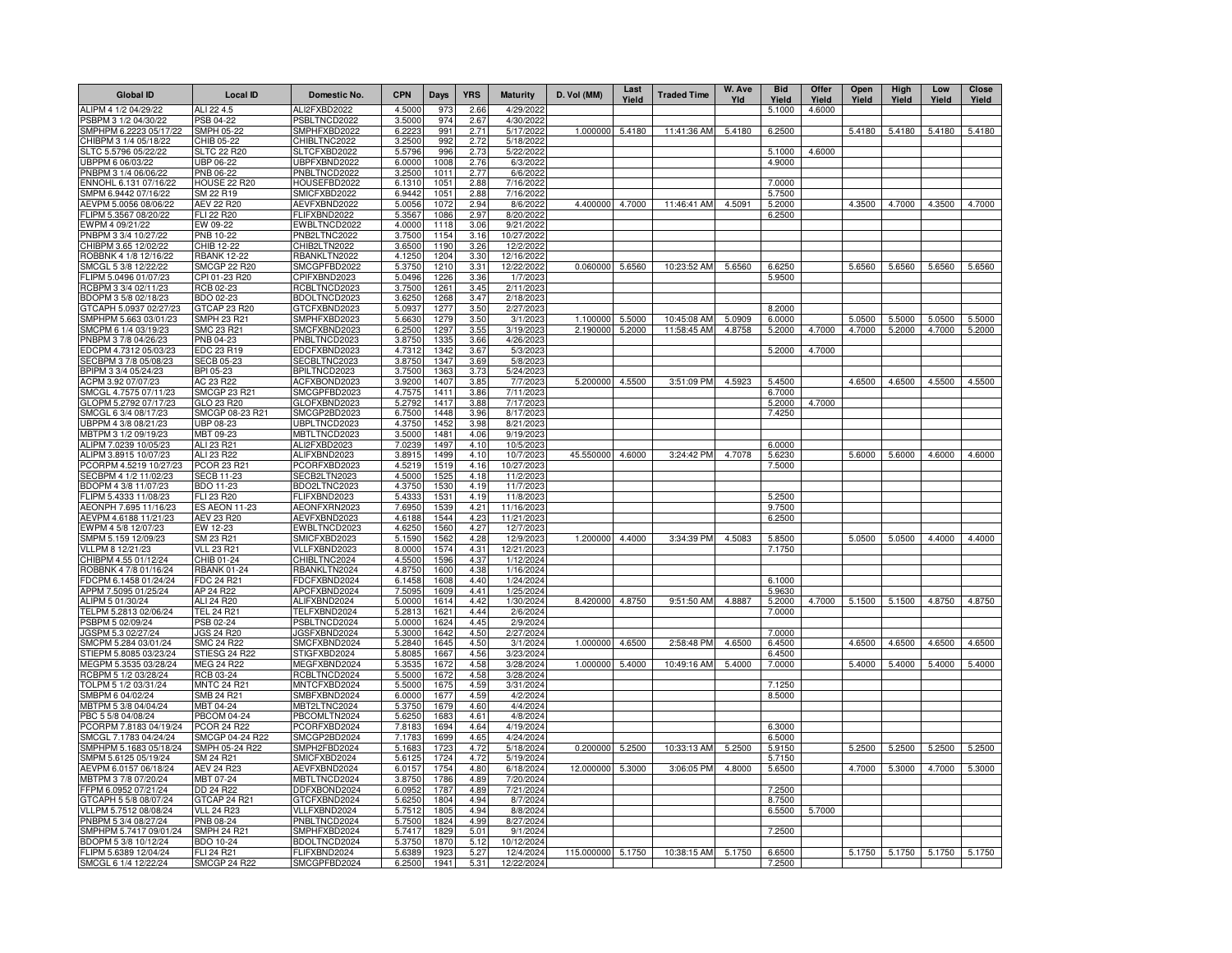| <b>Global ID</b>                                | <b>Local ID</b>                          | Domestic No.                 | <b>CPN</b>       | Days         | <b>YRS</b>   | <b>Maturity</b>         | D. Vol (MM)       | Last<br>Yield | <b>Traded Time</b> | W. Ave<br>Yld | <b>Bid</b><br>Yield | Offer<br>Yield | Open<br>Yield | High<br>Yield | Low<br>Yield | <b>Close</b><br>Yield |
|-------------------------------------------------|------------------------------------------|------------------------------|------------------|--------------|--------------|-------------------------|-------------------|---------------|--------------------|---------------|---------------------|----------------|---------------|---------------|--------------|-----------------------|
| ALIPM 4 1/2 04/29/22                            | ALI 22 4.5                               | ALI2FXBD2022                 | 4.5000           | 973          | 2.66         | 4/29/2022               |                   |               |                    |               | 5.1000              | 4.6000         |               |               |              |                       |
| PSBPM 3 1/2 04/30/22                            | PSB 04-22                                | PSBLTNCD2022                 | 3.5000           | 974          | 2.67         | 4/30/2022               |                   |               |                    |               |                     |                |               |               |              |                       |
| SMPHPM 6.2223 05/17/22                          | <b>SMPH 05-22</b>                        | SMPHFXBD2022                 | 6.2223           | 991          | 2.71         | 5/17/2022               | 1.000000          | 5.4180        | 11:41:36 AM        | 5.4180        | 6.2500              |                | 5.4180        | 5.4180        | 5.4180       | 5.4180                |
| CHIBPM 3 1/4 05/18/22<br>SLTC 5.5796 05/22/22   | CHIB 05-22<br><b>SLTC 22 R20</b>         | CHIBLTNC2022<br>SLTCFXBD2022 | 3.2500<br>5.5796 | 992<br>996   | 2.72<br>2.73 | 5/18/2022<br>5/22/2022  |                   |               |                    |               | 5.1000              | 4.6000         |               |               |              |                       |
| JBPPM 6 06/03/22                                | JBP 06-22                                | JBPFXBND2022                 | 6.0000           | 1008         | 2.76         | 6/3/2022                |                   |               |                    |               | 4.9000              |                |               |               |              |                       |
| PNBPM 3 1/4 06/06/22                            | PNB 06-22                                | PNBLTNCD2022                 | 3.2500           | 1011         | 2.77         | 6/6/2022                |                   |               |                    |               |                     |                |               |               |              |                       |
| ENNOHL 6.131 07/16/22                           | <b>HOUSE 22 R20</b>                      | HOUSEFBD2022                 | 6.1310           | 1051         | 2.88         | 7/16/2022               |                   |               |                    |               | 7.0000              |                |               |               |              |                       |
| SMPM 6.9442 07/16/22                            | SM 22 R19                                | SMICFXBD2022                 | 6.9442           | 1051         | 2.88         | 7/16/2022               |                   |               |                    |               | 5.7500              |                |               |               |              |                       |
| AEVPM 5.0056 08/06/22                           | AEV 22 R20                               | AEVFXBND2022                 | 5.0056           | 1072         | 2.94         | 8/6/2022                | 4.400000          | 4.7000        | 11:46:41 AM        | 4.5091        | 5.2000              |                | 4.3500        | 4.7000        | 4.3500       | 4.7000                |
| FLIPM 5.3567 08/20/22                           | FLI 22 R20                               | FLIFXBND2022                 | 5.3567           | 1086         | 2.97         | 8/20/2022               |                   |               |                    |               | 6.2500              |                |               |               |              |                       |
| EWPM 4 09/21/22<br>PNBPM 3 3/4 10/27/22         | EW 09-22<br>PNB 10-22                    | EWBLTNCD2022<br>PNB2LTNC2022 | 4.0000<br>3.7500 | 1118<br>1154 | 3.06<br>3.16 | 9/21/2022<br>10/27/2022 |                   |               |                    |               |                     |                |               |               |              |                       |
| CHIBPM 3.65 12/02/22                            | CHIB 12-22                               | CHIB2LTN2022                 | 3.6500           | 1190         | 3.26         | 12/2/2022               |                   |               |                    |               |                     |                |               |               |              |                       |
| ROBBNK 4 1/8 12/16/22                           | <b>RBANK 12-22</b>                       | RBANKLTN2022                 | 4.1250           | 1204         | 3.30         | 12/16/2022              |                   |               |                    |               |                     |                |               |               |              |                       |
| SMCGL 5 3/8 12/22/22                            | SMCGP 22 R20                             | SMCGPFBD2022                 | 5.3750           | 1210         | 3.31         | 12/22/2022              | 0.060000          | 5.6560        | 10:23:52 AM        | 5.6560        | 6.6250              |                | 5.6560        | 5.6560        | 5.6560       | 5.6560                |
| LIPM 5.0496 01/07/23                            | CPI 01-23 R20                            | CPIFXBND2023                 | 5.0496           | 1226         | 3.36         | 1/7/2023                |                   |               |                    |               | 5.9500              |                |               |               |              |                       |
| RCBPM 3 3/4 02/11/23                            | RCB 02-23                                | RCBLTNCD2023                 | 3.7500           | 1261         | 3.45         | 2/11/2023               |                   |               |                    |               |                     |                |               |               |              |                       |
| BDOPM 3 5/8 02/18/23                            | BDO 02-23                                | BDOLTNCD2023                 | 3.6250           | 1268         | 3.47         | 2/18/2023               |                   |               |                    |               |                     |                |               |               |              |                       |
| GTCAPH 5.0937 02/27/23<br>SMPHPM 5.663 03/01/23 | GTCAP 23 R20<br>SMPH 23 R21              | GTCFXBND2023<br>SMPHFXBD2023 | 5.0937<br>5.6630 | 1277<br>1279 | 3.5C<br>3.50 | 2/27/2023<br>3/1/202    | 1.100000          | 5.5000        | 10:45:08 AM        | 5.0909        | 8.2000<br>6.0000    |                | 5.0500        | 5.5000        | 5.0500       | 5.5000                |
| SMCPM 6 1/4 03/19/23                            | SMC 23 R21                               | SMCFXBND2023                 | 6.2500           | 1297         | 3.55         | 3/19/2023               | 2.190000          | 5.2000        | 11:58:45 AM        | 4.8758        | 5.2000              | 4.7000         | 4.7000        | 5.2000        | 4.7000       | 5.2000                |
| PNBPM 3 7/8 04/26/23                            | PNB 04-23                                | PNBLTNCD2023                 | 3.8750           | 1335         | 3.66         | 4/26/202                |                   |               |                    |               |                     |                |               |               |              |                       |
| EDCPM 4.7312 05/03/23                           | EDC 23 R19                               | EDCFXBND2023                 | 4.7312           | 1342         | 3.67         | 5/3/2023                |                   |               |                    |               | 5.2000              | 4.7000         |               |               |              |                       |
| SECBPM 3 7/8 05/08/23                           | SECB 05-23                               | SECBLTNC2023                 | 3.8750           | 1347         | 3.69         | 5/8/202                 |                   |               |                    |               |                     |                |               |               |              |                       |
| BPIPM 3 3/4 05/24/23                            | BPI 05-23                                | BPILTNCD2023                 | 3.7500           | 1363         | 3.73         | 5/24/2023               |                   |               |                    |               |                     |                |               |               |              |                       |
| ACPM 3.92 07/07/23                              | AC 23 R22                                | ACFXBOND2023                 | 3.9200           | 1407         | 3.85         | 7/7/202                 | 5.200000          | 4.5500        | 3:51:09 PM         | 4.5923        | 5.4500              |                | 4.6500        | 4.6500        | 4.5500       | 4.5500                |
| SMCGL 4.7575 07/11/23<br>GLOPM 5.2792 07/17/23  | <b>SMCGP 23 R21</b><br>GLO 23 R20        | SMCGPFBD2023                 | 4.7575<br>5.2792 | 1411<br>1417 | 3.86<br>3.88 | 7/11/202<br>7/17/202    |                   |               |                    |               | 6.7000              | 4.7000         |               |               |              |                       |
| SMCGL 6 3/4 08/17/23                            | SMCGP 08-23 R21                          | GLOFXBND2023<br>SMCGP2BD2023 | 6.7500           | 1448         | 3.96         | 8/17/2023               |                   |               |                    |               | 5.2000<br>7.4250    |                |               |               |              |                       |
| JBPPM 4 3/8 08/21/23                            | UBP 08-23                                | UBPLTNCD2023                 | 4.3750           | 1452         | 3.98         | 8/21/2023               |                   |               |                    |               |                     |                |               |               |              |                       |
| MBTPM 3 1/2 09/19/23                            | MBT 09-23                                | MBTLTNCD2023                 | 3.5000           | 1481         | 4.06         | 9/19/2023               |                   |               |                    |               |                     |                |               |               |              |                       |
| ALIPM 7.0239 10/05/23                           | ALI 23 R21                               | ALI2FXBD2023                 | 7.0239           | 1497         | 4.10         | 10/5/2023               |                   |               |                    |               | 6.0000              |                |               |               |              |                       |
| ALIPM 3.8915 10/07/23                           | ALI 23 R22                               | ALIFXBND2023                 | 3.8915           | 1499         | 4.10         | 10/7/2023               | 45.550000 4.6000  |               | 3:24:42 PM         | 4.7078        | 5.6230              |                | 5.6000        | 5.6000        | 4.6000       | 4.6000                |
| PCORPM 4.5219 10/27/23                          | <b>PCOR 23 R21</b>                       | PCORFXBD2023                 | 4.5219           | 1519         | 4.16         | 10/27/2023              |                   |               |                    |               | 7.5000              |                |               |               |              |                       |
| SECBPM 4 1/2 11/02/23                           | <b>SECB 11-23</b><br>BDO 11-23           | SECB2LTN2023<br>BDO2LTNC2023 | 4.5000<br>4.3750 | 1525         | 4.18<br>4.19 | 11/2/2023<br>11/7/2023  |                   |               |                    |               |                     |                |               |               |              |                       |
| BDOPM 4 3/8 11/07/23<br>FLIPM 5.4333 11/08/23   | FLI 23 R20                               | FLIFXBND2023                 | 5.4333           | 1530<br>1531 | 4.19         | 11/8/2023               |                   |               |                    |               | 5.2500              |                |               |               |              |                       |
| AEONPH 7.695 11/16/23                           | <b>ES AEON 11-23</b>                     | AEONFXRN2023                 | 7.6950           | 1539         | 4.21         | 11/16/2023              |                   |               |                    |               | 9.7500              |                |               |               |              |                       |
| AEVPM 4.6188 11/21/23                           | AEV 23 R20                               | AEVFXBND2023                 | 4.6188           | 1544         | 4.23         | 11/21/2023              |                   |               |                    |               | 6.2500              |                |               |               |              |                       |
| EWPM 4 5/8 12/07/23                             | EW 12-23                                 | EWBLTNCD2023                 | 4.6250           | 1560         | 4.27         | 12/7/2023               |                   |               |                    |               |                     |                |               |               |              |                       |
| SMPM 5.159 12/09/23                             | SM 23 R21                                | SMICFXBD2023                 | 5.1590           | 1562         | 4.28         | 12/9/2023               | 1.200000 4.4000   |               | 3:34:39 PM         | 4.5083        | 5.8500              |                | 5.0500        | 5.0500        | 4.4000       | 4.4000                |
| VLLPM 8 12/21/23                                | <b>VLL 23 R21</b>                        | VLLFXBND2023                 | 8.0000           | 1574         | 4.31         | 12/21/2023              |                   |               |                    |               | 7.1750              |                |               |               |              |                       |
| CHIBPM 4.55 01/12/24<br>ROBBNK 4 7/8 01/16/24   | CHIB 01-24<br><b>RBANK 01-24</b>         | CHIBLTNC2024<br>RBANKLTN2024 | 4.5500<br>4.8750 | 1596<br>1600 | 4.37         | 1/12/2024<br>1/16/2024  |                   |               |                    |               |                     |                |               |               |              |                       |
| DCPM 6.1458 01/24/24                            | <b>FDC 24 R21</b>                        | FDCFXBND2024                 | 6.1458           | 1608         | 4.38<br>4.40 | 1/24/2024               |                   |               |                    |               | 6.1000              |                |               |               |              |                       |
| APPM 7.5095 01/25/24                            | AP 24 R22                                | APCFXBND2024                 | 7.5095           | 1609         | 4.41         | 1/25/2024               |                   |               |                    |               | 5.9630              |                |               |               |              |                       |
| ALIPM 5 01/30/24                                | ALI 24 R20                               | ALIFXBND2024                 | 5.0000           | 1614         | 4.42         | 1/30/2024               | 8.420000          | 4.8750        | 9:51:50 AM         | 4.8887        | 5.2000              | 4.7000         | 5.1500        | 5.1500        | 4.8750       | 4.8750                |
| TELPM 5.2813 02/06/24                           | <b>TEL 24 R21</b>                        | TELFXBND2024                 | 5.2813           | 1621         | 4.44         | 2/6/2024                |                   |               |                    |               | 7.0000              |                |               |               |              |                       |
| PSBPM 5 02/09/24                                | PSB 02-24                                | PSBLTNCD2024                 | 5.0000           | 1624         | 4.45         | 2/9/2024                |                   |               |                    |               |                     |                |               |               |              |                       |
| JGSPM 5.3 02/27/24                              | <b>JGS 24 R20</b>                        | JGSFXBND2024                 | 5.3000           | 1642         | 4.50         | 2/27/2024               |                   |               |                    |               | 7.0000              |                |               |               |              |                       |
| SMCPM 5.284 03/01/24<br>STIEPM 5.8085 03/23/24  | <b>SMC 24 R22</b><br>STIESG 24 R22       | SMCFXBND2024<br>STIGFXBD2024 | 5.2840<br>5.8085 | 1645<br>1667 | 4.50<br>4.56 | 3/1/2024<br>3/23/2024   | 1.000000          | 4.6500        | 2:58:48 PM         | 4.6500        | 6.4500<br>6.4500    |                | 4.6500        | 4.6500        | 4.6500       | 4.6500                |
| MEGPM 5.3535 03/28/24                           | MEG 24 R22                               | MEGFXBND2024                 | 5.3535           | 1672         | 4.58         | 3/28/2024               | 1.000000          | 5.4000        | 10:49:16 AM        | 5.4000        | 7.0000              |                | 5.4000        | 5.4000        | 5.4000       | 5.4000                |
| RCBPM 5 1/2 03/28/24                            | RCB 03-24                                | RCBLTNCD2024                 | 5.5000           | 1672         | 4.58         | 3/28/2024               |                   |               |                    |               |                     |                |               |               |              |                       |
| TOLPM 5 1/2 03/31/24                            | <b>MNTC 24 R21</b>                       | MNTCFXBD2024                 | 5.5000           | 167          | 4.59         | 3/31/2024               |                   |               |                    |               | 7.1250              |                |               |               |              |                       |
| SMBPM 6 04/02/24                                | SMB 24 R21                               | SMBFXBND2024                 | 6.0000           | 167          | 4.59         | 4/2/2024                |                   |               |                    |               | 8.5000              |                |               |               |              |                       |
| MBTPM 5 3/8 04/04/24                            | MBT 04-24                                | MBT2LTNC2024                 | 5.3750           | 1679         | 4.60         | 4/4/2024                |                   |               |                    |               |                     |                |               |               |              |                       |
| PBC 5 5/8 04/08/24                              | <b>PBCOM 04-24</b><br><b>PCOR 24 R22</b> | PBCOMLTN2024<br>PCORFXBD2024 | 5.6250           | 168<br>1694  | 4.61         | 4/8/2024                |                   |               |                    |               | 6.3000              |                |               |               |              |                       |
| PCORPM 7.8183 04/19/24<br>SMCGL 7.1783 04/24/24 | SMCGP 04-24 R22                          | SMCGP2BD2024                 | 7.8183<br>7.1783 | 1699         | 4.64<br>4.65 | 4/19/2024<br>4/24/2024  |                   |               |                    |               | 6.5000              |                |               |               |              |                       |
| SMPHPM 5.1683 05/18/24                          | SMPH 05-24 R22                           | SMPH2FBD2024                 | 5.168            | 172          | 4.72         | 5/18/2024               | 0.200000          | 5.2500        | 10:33:13 AM        | 5.2500        | 5.9150              |                | 5.2500        | 5.2500        | 5.2500       | 5.2500                |
| SMPM 5.6125 05/19/24                            | SM 24 R21                                | SMICFXBD2024                 | 5.6125           | 1724         | 4.72         | 5/19/2024               |                   |               |                    |               | 5.7150              |                |               |               |              |                       |
| AEVPM 6.0157 06/18/24                           | AEV 24 R23                               | AEVFXBND2024                 | 6.0157           | 1754         | 4.80         | 6/18/2024               | 12.000000         | 5.3000        | 3:06:05 PM         | 4.8000        | 5.6500              |                | 4.7000        | 5.3000        | 4.7000       | 5.3000                |
| MBTPM 3 7/8 07/20/24                            | MBT 07-24                                | MBTLTNCD2024                 | 3.8750           | 1786         | 4.89         | 7/20/2024               |                   |               |                    |               |                     |                |               |               |              |                       |
| FPM 6.0952 07/21/24                             | DD 24 R22                                | DDFXBOND2024                 | 6.0952           | 1787         | 4.89         | 7/21/2024               |                   |               |                    |               | 7.2500              |                |               |               |              |                       |
| GTCAPH 5 5/8 08/07/24<br>VLLPM 5.7512 08/08/24  | GTCAP 24 R21                             | GTCFXBND2024                 | 5.6250<br>5.7512 | 1804         | 4.94         | 8/7/2024                |                   |               |                    |               | 8.7500<br>6.5500    |                |               |               |              |                       |
| PNBPM 5 3/4 08/27/24                            | <b>VLL 24 R23</b><br>PNB 08-24           | VLLFXBND2024<br>PNBLTNCD2024 | 5.7500           | 1805<br>1824 | 4.94<br>4.99 | 8/8/2024<br>8/27/2024   |                   |               |                    |               |                     | 5.7000         |               |               |              |                       |
| SMPHPM 5.7417 09/01/24                          | <b>SMPH 24 R21</b>                       | SMPHFXBD2024                 | 5.7417           | 1829         | 5.01         | 9/1/2024                |                   |               |                    |               | 7.2500              |                |               |               |              |                       |
| BDOPM 5 3/8 10/12/24                            | <b>BDO 10-24</b>                         | BDOLTNCD2024                 | 5.3750           | 1870         | 5.12         | 10/12/2024              |                   |               |                    |               |                     |                |               |               |              |                       |
| FLIPM 5.6389 12/04/24                           | FLI 24 R21                               | FLIFXBND2024                 | 5.6389           | 192          | 5.27         | 12/4/2024               | 115.000000 5.1750 |               | 10:38:15 AM        | 5.1750        | 6.6500              |                | 5.1750        | 5.1750        | 5.1750       | 5.1750                |
| SMCGL 6 1/4 12/22/24                            | <b>SMCGP 24 R22</b>                      | SMCGPFBD2024                 | 6.2500           | 1941         | 5.31         | 12/22/2024              |                   |               |                    |               | 7.2500              |                |               |               |              |                       |